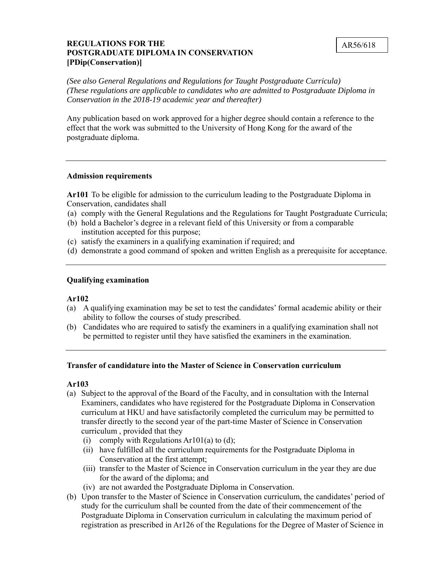## **REGULATIONS FOR THE** AR56/618 **POSTGRADUATE DIPLOMA IN CONSERVATION [PDip(Conservation)]**

*(See also General Regulations and Regulations for Taught Postgraduate Curricula) (These regulations are applicable to candidates who are admitted to Postgraduate Diploma in Conservation in the 2018-19 academic year and thereafter)* 

 effect that the work was submitted to the University of Hong Kong for the award of the Any publication based on work approved for a higher degree should contain a reference to the postgraduate diploma.

#### **Admission requirements**

**Ar101** To be eligible for admission to the curriculum leading to the Postgraduate Diploma in Conservation, candidates shall

- (a) comply with the General Regulations and the Regulations for Taught Postgraduate Curricula;
- (b) hold a Bachelor's degree in a relevant field of this University or from a comparable institution accepted for this purpose;
- (c) satisfy the examiners in a qualifying examination if required; and
- (d) demonstrate a good command of spoken and written English as a prerequisite for acceptance.

#### **Qualifying examination**

#### **Ar102**

- (a) A qualifying examination may be set to test the candidates' formal academic ability or their ability to follow the courses of study prescribed.
- (b) Candidates who are required to satisfy the examiners in a qualifying examination shall not be permitted to register until they have satisfied the examiners in the examination.

#### **Transfer of candidature into the Master of Science in Conservation curriculum**

#### **Ar103**

- curriculum at HKU and have satisfactorily completed the curriculum may be permitted to curriculum , provided that they (a) Subject to the approval of the Board of the Faculty, and in consultation with the Internal Examiners, candidates who have registered for the Postgraduate Diploma in Conservation transfer directly to the second year of the part-time Master of Science in Conservation
	- (i) comply with Regulations Ar101(a) to  $(d)$ ;
	- (ii) have fulfilled all the curriculum requirements for the Postgraduate Diploma in Conservation at the first attempt;
	- (iii) transfer to the Master of Science in Conservation curriculum in the year they are due for the award of the diploma; and
	- (iv) are not awarded the Postgraduate Diploma in Conservation.
- Postgraduate Diploma in Conservation curriculum in calculating the maximum period of (b) Upon transfer to the Master of Science in Conservation curriculum, the candidates' period of study for the curriculum shall be counted from the date of their commencement of the registration as prescribed in Ar126 of the Regulations for the Degree of Master of Science in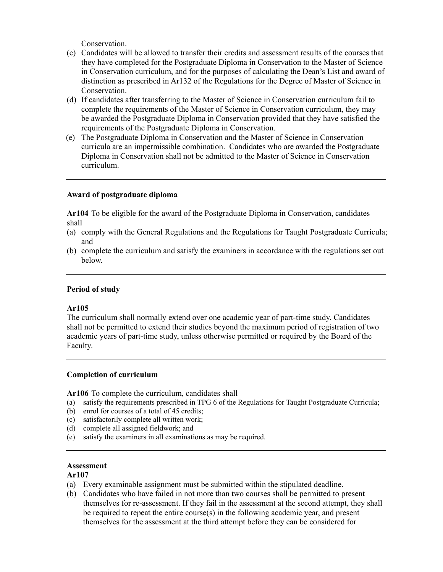Conservation.

- they have completed for the Postgraduate Diploma in Conservation to the Master of Science (c) Candidates will be allowed to transfer their credits and assessment results of the courses that in Conservation curriculum, and for the purposes of calculating the Dean's List and award of distinction as prescribed in Ar132 of the Regulations for the Degree of Master of Science in Conservation.
- (d) If candidates after transferring to the Master of Science in Conservation curriculum fail to complete the requirements of the Master of Science in Conservation curriculum, they may be awarded the Postgraduate Diploma in Conservation provided that they have satisfied the requirements of the Postgraduate Diploma in Conservation.
- (e) The Postgraduate Diploma in Conservation and the Master of Science in Conservation curricula are an impermissible combination. Candidates who are awarded the Postgraduate Diploma in Conservation shall not be admitted to the Master of Science in Conservation curriculum.

# **Award of postgraduate diploma**

 **Ar104** To be eligible for the award of the Postgraduate Diploma in Conservation, candidates shall

- (a) comply with the General Regulations and the Regulations for Taught Postgraduate Curricula; and
- (b) complete the curriculum and satisfy the examiners in accordance with the regulations set out below.

# **Period of study**

## **Ar105**

The curriculum shall normally extend over one academic year of part-time study. Candidates shall not be permitted to extend their studies beyond the maximum period of registration of two academic years of part-time study, unless otherwise permitted or required by the Board of the Faculty.

## **Completion of curriculum**

**Ar106** To complete the curriculum, candidates shall

- (a) satisfy the requirements prescribed in TPG 6 of the Regulations for Taught Postgraduate Curricula;
- (b) enrol for courses of a total of 45 credits;
- (c) satisfactorily complete all written work;
- (d) complete all assigned fieldwork; and
- (e) satisfy the examiners in all examinations as may be required.

## **Assessment**

## **Ar107**

- (a) Every examinable assignment must be submitted within the stipulated deadline.
- (b) Candidates who have failed in not more than two courses shall be permitted to present themselves for re-assessment. If they fail in the assessment at the second attempt, they shall be required to repeat the entire course(s) in the following academic year, and present themselves for the assessment at the third attempt before they can be considered for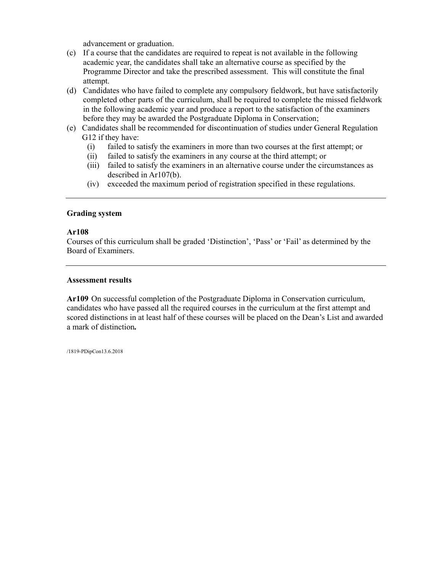advancement or graduation.

- (c) If a course that the candidates are required to repeat is not available in the following academic year, the candidates shall take an alternative course as specified by the Programme Director and take the prescribed assessment. This will constitute the final attempt.
- before they may be awarded the Postgraduate Diploma in Conservation; (d) Candidates who have failed to complete any compulsory fieldwork, but have satisfactorily completed other parts of the curriculum, shall be required to complete the missed fieldwork in the following academic year and produce a report to the satisfaction of the examiners
- (e) Candidates shall be recommended for discontinuation of studies under General Regulation G12 if they have:
	- (i) failed to satisfy the examiners in more than two courses at the first attempt; or
	- (ii) failed to satisfy the examiners in any course at the third attempt; or
	- $(iii)$ failed to satisfy the examiners in an alternative course under the circumstances as described in Ar107(b).
	- (iv) exceeded the maximum period of registration specified in these regulations.

## **Grading system**

#### **Ar108**

 Courses of this curriculum shall be graded 'Distinction', 'Pass' or 'Fail' as determined by the Board of Examiners.

#### **Assessment results**

 candidates who have passed all the required courses in the curriculum at the first attempt and scored distinctions in at least half of these courses will be placed on the Dean's List and awarded **Ar109** On successful completion of the Postgraduate Diploma in Conservation curriculum, a mark of distinction*.* 

/1819-PDipCon13.6.2018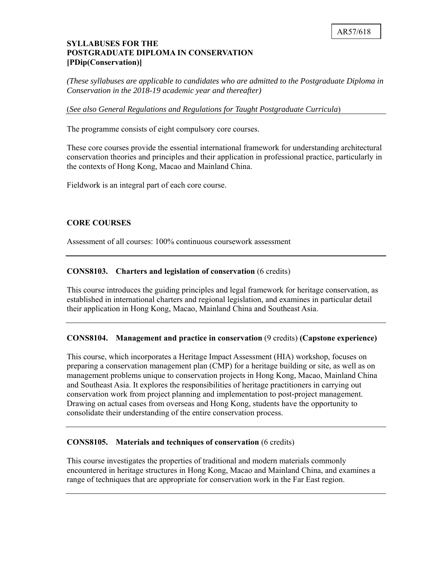# **SYLLABUSES FOR THE POSTGRADUATE DIPLOMA IN CONSERVATION [PDip(Conservation)]**

*(These syllabuses are applicable to candidates who are admitted to the Postgraduate Diploma in Conservation in the 2018-19 academic year and thereafter)* 

(*See also General Regulations and Regulations for Taught Postgraduate Curricula*)

The programme consists of eight compulsory core courses.

These core courses provide the essential international framework for understanding architectural conservation theories and principles and their application in professional practice, particularly in the contexts of Hong Kong, Macao and Mainland China.

Fieldwork is an integral part of each core course.

# **CORE COURSES**

Assessment of all courses: 100% continuous coursework assessment

### **CONS8103. Charters and legislation of conservation** (6 credits)

This course introduces the guiding principles and legal framework for heritage conservation, as established in international charters and regional legislation, and examines in particular detail their application in Hong Kong, Macao, Mainland China and Southeast Asia.

## **CONS8104. Management and practice in conservation** (9 credits) **(Capstone experience)**

 and Southeast Asia. It explores the responsibilities of heritage practitioners in carrying out conservation work from project planning and implementation to post-project management. Drawing on actual cases from overseas and Hong Kong, students have the opportunity to This course, which incorporates a Heritage Impact Assessment (HIA) workshop, focuses on preparing a conservation management plan (CMP) for a heritage building or site, as well as on management problems unique to conservation projects in Hong Kong, Macao, Mainland China consolidate their understanding of the entire conservation process.

## **CONS8105. Materials and techniques of conservation** (6 credits)

 This course investigates the properties of traditional and modern materials commonly encountered in heritage structures in Hong Kong, Macao and Mainland China, and examines a range of techniques that are appropriate for conservation work in the Far East region.